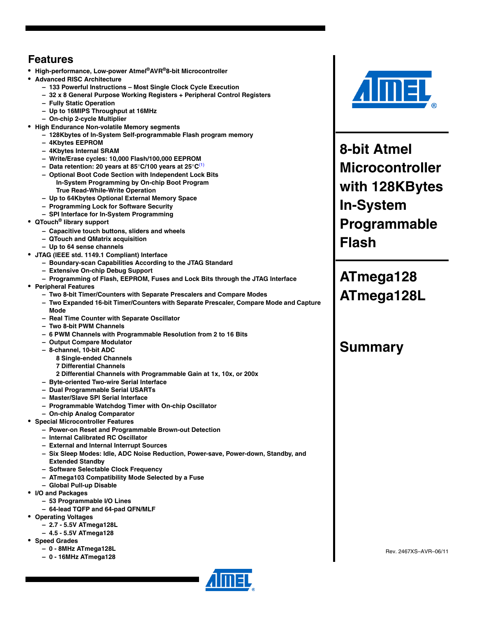### <span id="page-0-0"></span>**Features**

- **High-performance, Low-power Atmel®AVR®8-bit Microcontroller**
- **Advanced RISC Architecture**
	- **133 Powerful Instructions Most Single Clock Cycle Execution**
	- **32 x 8 General Purpose Working Registers + Peripheral Control Registers**
	- **Fully Static Operation**
	- **Up to 16MIPS Throughput at 16MHz**
	- **On-chip 2-cycle Multiplier**
- **High Endurance Non-volatile Memory segments**
	- **128Kbytes of In-System Self-programmable Flash program memory**
	- **4Kbytes EEPROM**
	- **4Kbytes Internal SRAM**
	- **Write/Erase cycles: 10,000 Flash/100,000 EEPROM**
	- **Data retention: 20 years at 85**°**C/100 years at 25**°**C**[\(1\)](#page-7-0)
	- **Optional Boot Code Section with Independent Lock Bits In-System Programming by On-chip Boot Program True Read-While-Write Operation**
	- **Up to 64Kbytes Optional External Memory Space**
	- **Programming Lock for Software Security**
	- **SPI Interface for In-System Programming**
- **QTouch® library support**
	- **Capacitive touch buttons, sliders and wheels**
	- **QTouch and QMatrix acquisition**
	- **Up to 64 sense channels**
- **JTAG (IEEE std. 1149.1 Compliant) Interface**
	- **Boundary-scan Capabilities According to the JTAG Standard**
	- **Extensive On-chip Debug Support**
	- **Programming of Flash, EEPROM, Fuses and Lock Bits through the JTAG Interface**
- **Peripheral Features**
	- **Two 8-bit Timer/Counters with Separate Prescalers and Compare Modes**
	- **Two Expanded 16-bit Timer/Counters with Separate Prescaler, Compare Mode and Capture Mode**
	- **Real Time Counter with Separate Oscillator**
	- **Two 8-bit PWM Channels**
	- **6 PWM Channels with Programmable Resolution from 2 to 16 Bits**
	- **Output Compare Modulator**
	- **8-channel, 10-bit ADC**
		- **8 Single-ended Channels**
		- **7 Differential Channels**
		- **2 Differential Channels with Programmable Gain at 1x, 10x, or 200x**
	- **Byte-oriented Two-wire Serial Interface**
	- **Dual Programmable Serial USARTs**
	- **Master/Slave SPI Serial Interface**
	- **Programmable Watchdog Timer with On-chip Oscillator**
	- **On-chip Analog Comparator**
- **Special Microcontroller Features**
	- **Power-on Reset and Programmable Brown-out Detection**
	- **Internal Calibrated RC Oscillator**
	- **External and Internal Interrupt Sources**
	- **Six Sleep Modes: Idle, ADC Noise Reduction, Power-save, Power-down, Standby, and Extended Standby**
	- **Software Selectable Clock Frequency**
	- **ATmega103 Compatibility Mode Selected by a Fuse**
	- **Global Pull-up Disable**
- **I/O and Packages**
	- **53 Programmable I/O Lines**
	- **64-lead TQFP and 64-pad QFN/MLF**
- **Operating Voltages**
	- **2.7 5.5V ATmega128L**
	- **4.5 5.5V ATmega128**
- **Speed Grades**
	- **0 8MHz ATmega128L**
	- **0 16MHz ATmega128**





**8-bit Atmel Microcontroller with 128KBytes In-System Programmable Flash**

**ATmega128 ATmega128L**

### **Summary**

Rev. 2467XS–AVR–06/11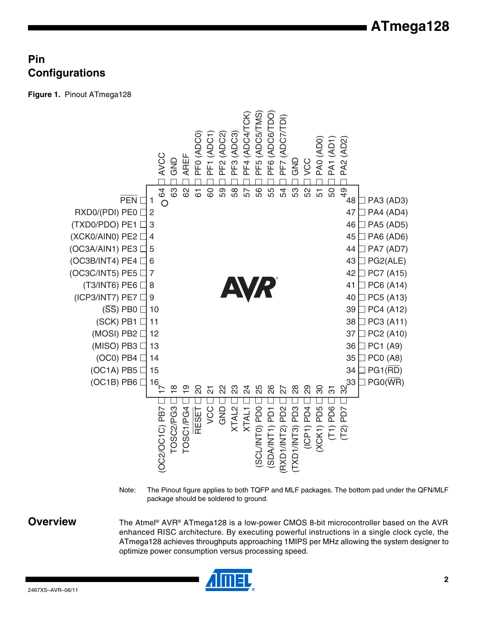### **Pin Configurations**

<span id="page-1-0"></span>**Figure 1.** Pinout ATmega128



Note: The Pinout figure applies to both TQFP and MLF packages. The bottom pad under the QFN/MLF package should be soldered to ground.

**Overview** The Atmel<sup>®</sup> AVR<sup>®</sup> ATmega128 is a low-power CMOS 8-bit microcontroller based on the AVR enhanced RISC architecture. By executing powerful instructions in a single clock cycle, the ATmega128 achieves throughputs approaching 1MIPS per MHz allowing the system designer to optimize power consumption versus processing speed.

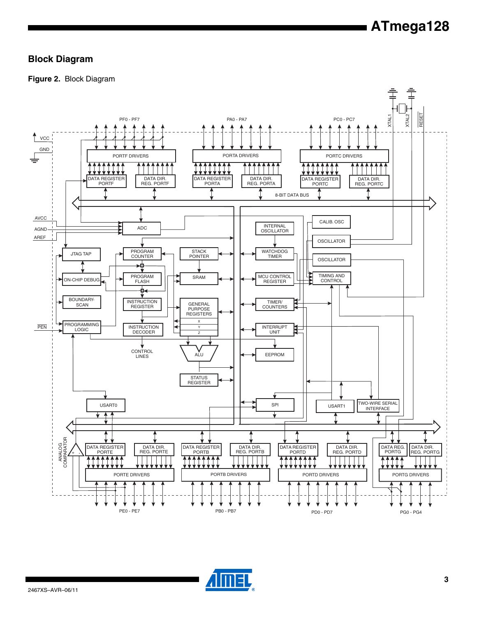### **Block Diagram**

**Figure 2.** Block Diagram



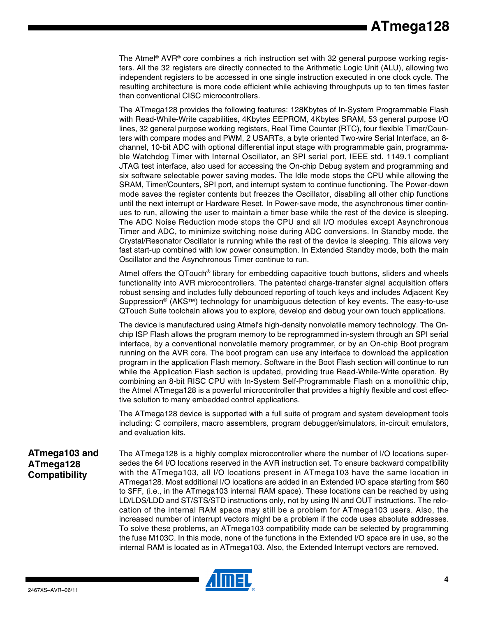The Atmel<sup>®</sup> AVR<sup>®</sup> core combines a rich instruction set with 32 general purpose working registers. All the 32 registers are directly connected to the Arithmetic Logic Unit (ALU), allowing two independent registers to be accessed in one single instruction executed in one clock cycle. The resulting architecture is more code efficient while achieving throughputs up to ten times faster than conventional CISC microcontrollers.

The ATmega128 provides the following features: 128Kbytes of In-System Programmable Flash with Read-While-Write capabilities, 4Kbytes EEPROM, 4Kbytes SRAM, 53 general purpose I/O lines, 32 general purpose working registers, Real Time Counter (RTC), four flexible Timer/Counters with compare modes and PWM, 2 USARTs, a byte oriented Two-wire Serial Interface, an 8 channel, 10-bit ADC with optional differential input stage with programmable gain, programmable Watchdog Timer with Internal Oscillator, an SPI serial port, IEEE std. 1149.1 compliant JTAG test interface, also used for accessing the On-chip Debug system and programming and six software selectable power saving modes. The Idle mode stops the CPU while allowing the SRAM, Timer/Counters, SPI port, and interrupt system to continue functioning. The Power-down mode saves the register contents but freezes the Oscillator, disabling all other chip functions until the next interrupt or Hardware Reset. In Power-save mode, the asynchronous timer continues to run, allowing the user to maintain a timer base while the rest of the device is sleeping. The ADC Noise Reduction mode stops the CPU and all I/O modules except Asynchronous Timer and ADC, to minimize switching noise during ADC conversions. In Standby mode, the Crystal/Resonator Oscillator is running while the rest of the device is sleeping. This allows very fast start-up combined with low power consumption. In Extended Standby mode, both the main Oscillator and the Asynchronous Timer continue to run.

Atmel offers the QTouch® library for embedding capacitive touch buttons, sliders and wheels functionality into AVR microcontrollers. The patented charge-transfer signal acquisition offers robust sensing and includes fully debounced reporting of touch keys and includes Adjacent Key Suppression® (AKS™) technology for unambiguous detection of key events. The easy-to-use QTouch Suite toolchain allows you to explore, develop and debug your own touch applications.

The device is manufactured using Atmel's high-density nonvolatile memory technology. The Onchip ISP Flash allows the program memory to be reprogrammed in-system through an SPI serial interface, by a conventional nonvolatile memory programmer, or by an On-chip Boot program running on the AVR core. The boot program can use any interface to download the application program in the application Flash memory. Software in the Boot Flash section will continue to run while the Application Flash section is updated, providing true Read-While-Write operation. By combining an 8-bit RISC CPU with In-System Self-Programmable Flash on a monolithic chip, the Atmel ATmega128 is a powerful microcontroller that provides a highly flexible and cost effective solution to many embedded control applications.

The ATmega128 device is supported with a full suite of program and system development tools including: C compilers, macro assemblers, program debugger/simulators, in-circuit emulators, and evaluation kits.

### **ATmega103 and ATmega128 Compatibility**

The ATmega128 is a highly complex microcontroller where the number of I/O locations supersedes the 64 I/O locations reserved in the AVR instruction set. To ensure backward compatibility with the ATmega103, all I/O locations present in ATmega103 have the same location in ATmega128. Most additional I/O locations are added in an Extended I/O space starting from \$60 to \$FF, (i.e., in the ATmega103 internal RAM space). These locations can be reached by using LD/LDS/LDD and ST/STS/STD instructions only, not by using IN and OUT instructions. The relocation of the internal RAM space may still be a problem for ATmega103 users. Also, the increased number of interrupt vectors might be a problem if the code uses absolute addresses. To solve these problems, an ATmega103 compatibility mode can be selected by programming the fuse M103C. In this mode, none of the functions in the Extended I/O space are in use, so the internal RAM is located as in ATmega103. Also, the Extended Interrupt vectors are removed.

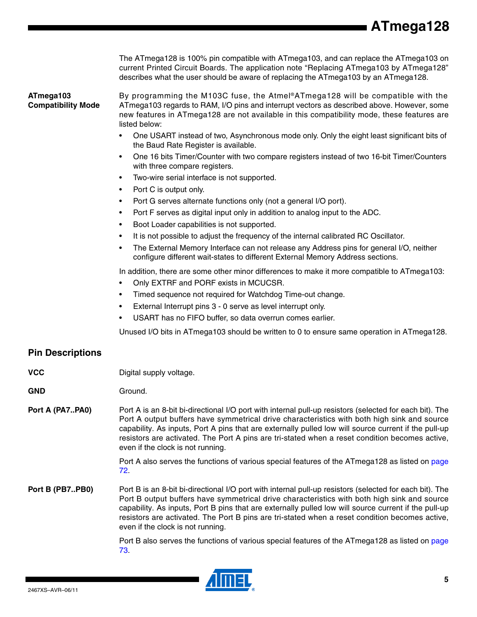The ATmega128 is 100% pin compatible with ATmega103, and can replace the ATmega103 on current Printed Circuit Boards. The application note "Replacing ATmega103 by ATmega128" describes what the user should be aware of replacing the ATmega103 by an ATmega128.

#### <span id="page-4-0"></span>**ATmega103 Compatibility Mode**

By programming the M103C fuse, the Atmel®ATmega128 will be compatible with the ATmega103 regards to RAM, I/O pins and interrupt vectors as described above. However, some new features in ATmega128 are not available in this compatibility mode, these features are listed below:

- One USART instead of two, Asynchronous mode only. Only the eight least significant bits of the Baud Rate Register is available.
- One 16 bits Timer/Counter with two compare registers instead of two 16-bit Timer/Counters with three compare registers.
- Two-wire serial interface is not supported.
- Port C is output only.
- Port G serves alternate functions only (not a general I/O port).
- Port F serves as digital input only in addition to analog input to the ADC.
- Boot Loader capabilities is not supported.
- It is not possible to adjust the frequency of the internal calibrated RC Oscillator.
- The External Memory Interface can not release any Address pins for general I/O, neither configure different wait-states to different External Memory Address sections.

In addition, there are some other minor differences to make it more compatible to ATmega103:

- Only EXTRF and PORF exists in MCUCSR.
- Timed sequence not required for Watchdog Time-out change.
- External Interrupt pins 3 0 serve as level interrupt only.
- USART has no FIFO buffer, so data overrun comes earlier.

Unused I/O bits in ATmega103 should be written to 0 to ensure same operation in ATmega128.

#### **Pin Descriptions**

- **VCC** Digital supply voltage.
- GND Ground.
- **Port A (PA7..PA0)** Port A is an 8-bit bi-directional I/O port with internal pull-up resistors (selected for each bit). The Port A output buffers have symmetrical drive characteristics with both high sink and source capability. As inputs, Port A pins that are externally pulled low will source current if the pull-up resistors are activated. The Port A pins are tri-stated when a reset condition becomes active, even if the clock is not running.

Port A also serves the functions of various special features of the ATmega128 as listed on page 72.

**Port B (PB7..PB0)** Port B is an 8-bit bi-directional I/O port with internal pull-up resistors (selected for each bit). The Port B output buffers have symmetrical drive characteristics with both high sink and source capability. As inputs, Port B pins that are externally pulled low will source current if the pull-up resistors are activated. The Port B pins are tri-stated when a reset condition becomes active, even if the clock is not running.

> Port B also serves the functions of various special features of the ATmega128 as listed on page 73.

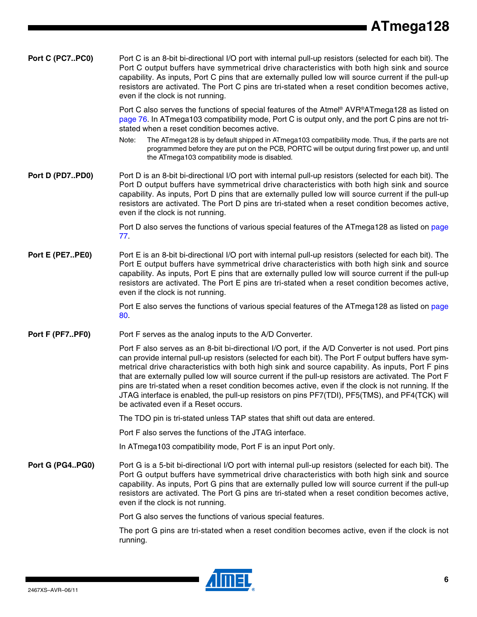<span id="page-5-0"></span>

| Port C (PC7PC0) | Port C is an 8-bit bi-directional I/O port with internal pull-up resistors (selected for each bit). The<br>Port C output buffers have symmetrical drive characteristics with both high sink and source<br>capability. As inputs, Port C pins that are externally pulled low will source current if the pull-up<br>resistors are activated. The Port C pins are tri-stated when a reset condition becomes active,<br>even if the clock is not running.                                                                                                                                                                                                                    |
|-----------------|--------------------------------------------------------------------------------------------------------------------------------------------------------------------------------------------------------------------------------------------------------------------------------------------------------------------------------------------------------------------------------------------------------------------------------------------------------------------------------------------------------------------------------------------------------------------------------------------------------------------------------------------------------------------------|
|                 | Port C also serves the functions of special features of the Atmel® AVR®ATmega128 as listed on<br>page 76. In ATmega103 compatibility mode, Port C is output only, and the port C pins are not tri-<br>stated when a reset condition becomes active.                                                                                                                                                                                                                                                                                                                                                                                                                      |
|                 | The ATmega128 is by default shipped in ATmega103 compatibility mode. Thus, if the parts are not<br>Note:<br>programmed before they are put on the PCB, PORTC will be output during first power up, and until<br>the ATmega103 compatibility mode is disabled.                                                                                                                                                                                                                                                                                                                                                                                                            |
| Port D (PD7PD0) | Port D is an 8-bit bi-directional I/O port with internal pull-up resistors (selected for each bit). The<br>Port D output buffers have symmetrical drive characteristics with both high sink and source<br>capability. As inputs, Port D pins that are externally pulled low will source current if the pull-up<br>resistors are activated. The Port D pins are tri-stated when a reset condition becomes active,<br>even if the clock is not running.                                                                                                                                                                                                                    |
|                 | Port D also serves the functions of various special features of the ATmega128 as listed on page<br>77.                                                                                                                                                                                                                                                                                                                                                                                                                                                                                                                                                                   |
| Port E (PE7PE0) | Port E is an 8-bit bi-directional I/O port with internal pull-up resistors (selected for each bit). The<br>Port E output buffers have symmetrical drive characteristics with both high sink and source<br>capability. As inputs, Port E pins that are externally pulled low will source current if the pull-up<br>resistors are activated. The Port E pins are tri-stated when a reset condition becomes active,<br>even if the clock is not running.                                                                                                                                                                                                                    |
|                 | Port E also serves the functions of various special features of the ATmega128 as listed on page<br>80.                                                                                                                                                                                                                                                                                                                                                                                                                                                                                                                                                                   |
| Port F (PF7PF0) | Port F serves as the analog inputs to the A/D Converter.                                                                                                                                                                                                                                                                                                                                                                                                                                                                                                                                                                                                                 |
|                 | Port F also serves as an 8-bit bi-directional I/O port, if the A/D Converter is not used. Port pins<br>can provide internal pull-up resistors (selected for each bit). The Port F output buffers have sym-<br>metrical drive characteristics with both high sink and source capability. As inputs, Port F pins<br>that are externally pulled low will source current if the pull-up resistors are activated. The Port F<br>pins are tri-stated when a reset condition becomes active, even if the clock is not running. If the<br>JTAG interface is enabled, the pull-up resistors on pins PF7(TDI), PF5(TMS), and PF4(TCK) will<br>be activated even if a Reset occurs. |
|                 | The TDO pin is tri-stated unless TAP states that shift out data are entered.                                                                                                                                                                                                                                                                                                                                                                                                                                                                                                                                                                                             |
|                 | Port F also serves the functions of the JTAG interface.                                                                                                                                                                                                                                                                                                                                                                                                                                                                                                                                                                                                                  |
|                 | In ATmega103 compatibility mode, Port F is an input Port only.                                                                                                                                                                                                                                                                                                                                                                                                                                                                                                                                                                                                           |
| Port G (PG4PG0) | Port G is a 5-bit bi-directional I/O port with internal pull-up resistors (selected for each bit). The<br>Port G output buffers have symmetrical drive characteristics with both high sink and source<br>capability. As inputs, Port G pins that are externally pulled low will source current if the pull-up<br>resistors are activated. The Port G pins are tri-stated when a reset condition becomes active,<br>even if the clock is not running.                                                                                                                                                                                                                     |
|                 | Port G also serves the functions of various special features.                                                                                                                                                                                                                                                                                                                                                                                                                                                                                                                                                                                                            |
|                 | The port G pins are tri-stated when a reset condition becomes active, even if the clock is not<br>running.                                                                                                                                                                                                                                                                                                                                                                                                                                                                                                                                                               |



 $\blacksquare$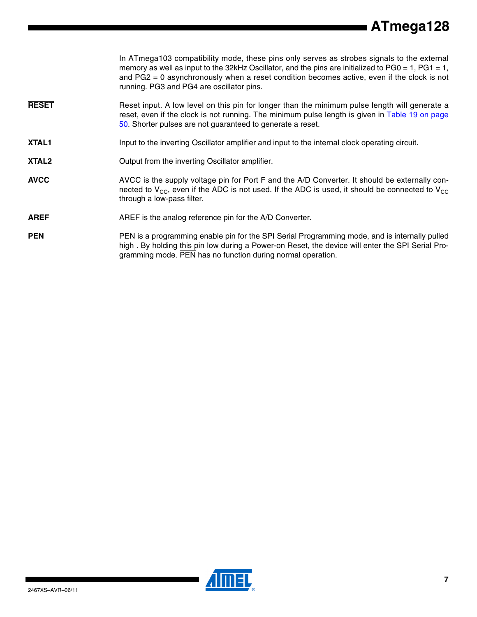|                   | In ATmega103 compatibility mode, these pins only serves as strobes signals to the external<br>memory as well as input to the 32kHz Oscillator, and the pins are initialized to $PG0 = 1$ , $PG1 = 1$ ,<br>and $PG2 = 0$ asynchronously when a reset condition becomes active, even if the clock is not<br>running. PG3 and PG4 are oscillator pins. |
|-------------------|-----------------------------------------------------------------------------------------------------------------------------------------------------------------------------------------------------------------------------------------------------------------------------------------------------------------------------------------------------|
| <b>RESET</b>      | Reset input. A low level on this pin for longer than the minimum pulse length will generate a<br>reset, even if the clock is not running. The minimum pulse length is given in Table 19 on page<br>50. Shorter pulses are not guaranteed to generate a reset.                                                                                       |
| XTAL1             | Input to the inverting Oscillator amplifier and input to the internal clock operating circuit.                                                                                                                                                                                                                                                      |
| XTAL <sub>2</sub> | Output from the inverting Oscillator amplifier.                                                                                                                                                                                                                                                                                                     |
| <b>AVCC</b>       | AVCC is the supply voltage pin for Port F and the A/D Converter. It should be externally con-<br>nected to $V_{CC}$ , even if the ADC is not used. If the ADC is used, it should be connected to $V_{CC}$<br>through a low-pass filter.                                                                                                             |
| <b>AREF</b>       | AREF is the analog reference pin for the A/D Converter.                                                                                                                                                                                                                                                                                             |
| <b>PEN</b>        | PEN is a programming enable pin for the SPI Serial Programming mode, and is internally pulled<br>high. By holding this pin low during a Power-on Reset, the device will enter the SPI Serial Pro-<br>gramming mode. PEN has no function during normal operation.                                                                                    |



▊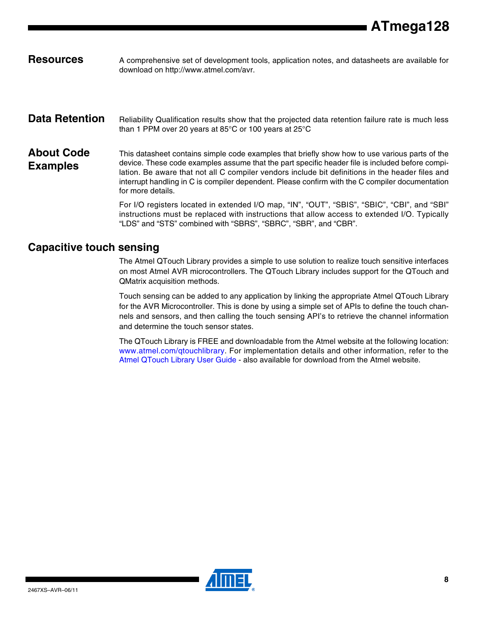Resources A comprehensive set of development tools, application notes, and datasheets are available for download on http://www.atmel.com/avr.

#### <span id="page-7-1"></span><span id="page-7-0"></span>Data Retention Reliability Qualification results show that the projected data retention failure rate is much less than 1 PPM over 20 years at 85°C or 100 years at 25°C

#### **About Code Examples** This datasheet contains simple code examples that briefly show how to use various parts of the device. These code examples assume that the part specific header file is included before compilation. Be aware that not all C compiler vendors include bit definitions in the header files and interrupt handling in C is compiler dependent. Please confirm with the C compiler documentation for more details.

For I/O registers located in extended I/O map, "IN", "OUT", "SBIS", "SBIC", "CBI", and "SBI" instructions must be replaced with instructions that allow access to extended I/O. Typically "LDS" and "STS" combined with "SBRS", "SBRC", "SBR", and "CBR".

#### **Capacitive touch sensing**

The Atmel QTouch Library provides a simple to use solution to realize touch sensitive interfaces on most Atmel AVR microcontrollers. The QTouch Library includes support for the QTouch and QMatrix acquisition methods.

Touch sensing can be added to any application by linking the appropriate Atmel QTouch Library for the AVR Microcontroller. This is done by using a simple set of APIs to define the touch channels and sensors, and then calling the touch sensing API's to retrieve the channel information and determine the touch sensor states.

The QTouch Library is FREE and downloadable from the Atmel website at the following location: <www.atmel.com/qtouchlibrary>[. For implementation details and other information, refer to the](http://www.atmel.com/dyn/resources/prod_documents/doc8207.pdf) Atmel QTouch Library User Guide - also available for download from the Atmel website.

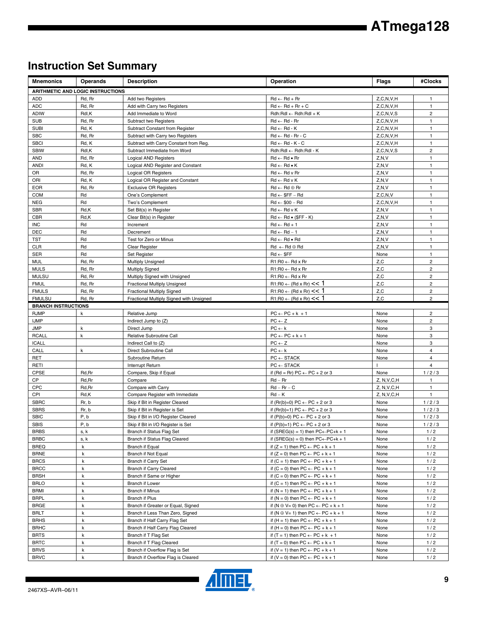### **Instruction Set Summary**

| <b>Mnemonics</b>           | Operands                          | <b>Description</b>                                                 | Operation                                                                                             | <b>Flags</b>  | #Clocks                      |
|----------------------------|-----------------------------------|--------------------------------------------------------------------|-------------------------------------------------------------------------------------------------------|---------------|------------------------------|
|                            | ARITHMETIC AND LOGIC INSTRUCTIONS |                                                                    |                                                                                                       |               |                              |
| <b>ADD</b>                 | Rd, Rr                            | Add two Registers                                                  | $Rd \leftarrow Rd + Rr$                                                                               | Z, C, N, V, H | $\overline{1}$               |
| <b>ADC</b>                 | Rd, Rr                            | Add with Carry two Registers                                       | $Rd \leftarrow Rd + Rr + C$                                                                           | Z, C, N, V, H | $\mathbf{1}$                 |
| <b>ADIW</b>                | Rdl,K                             | Add Immediate to Word                                              | Rdh:Rdl ← Rdh:Rdl + K                                                                                 | Z, C, N, V, S | $\overline{c}$               |
| <b>SUB</b>                 | Rd, Rr                            | Subtract two Registers                                             | $Rd \leftarrow Rd - Rr$                                                                               | Z, C, N, V, H | $\mathbf{1}$                 |
| <b>SUBI</b>                | Rd, K                             | Subtract Constant from Register                                    | $Rd \leftarrow Rd - K$                                                                                | Z, C, N, V, H | $\mathbf{1}$                 |
| <b>SBC</b>                 | Rd, Rr                            | Subtract with Carry two Registers                                  | $Rd \leftarrow Rd - Rr - C$                                                                           | Z, C, N, V, H | $\mathbf{1}$                 |
| <b>SBCI</b>                | Rd, K                             | Subtract with Carry Constant from Reg.                             | $Rd \leftarrow Rd - K - C$                                                                            | Z, C, N, V, H | $\mathbf{1}$                 |
| <b>SBIW</b>                | Rdl,K                             | Subtract Immediate from Word                                       | Rdh:Rdl ← Rdh:Rdl - K                                                                                 | Z, C, N, V, S | $\overline{c}$               |
| <b>AND</b>                 | Rd, Rr                            | <b>Logical AND Registers</b>                                       | $Rd \leftarrow Rd \bullet Rr$                                                                         | Z, N, V       | $\mathbf{1}$                 |
| <b>ANDI</b>                | Rd, K                             | Logical AND Register and Constant                                  | $Rd \leftarrow Rd \bullet K$                                                                          | Z, N, V       | $\mathbf{1}$                 |
| OR                         | Rd, Rr                            | Logical OR Registers                                               | $Rd \leftarrow Rd$ v Rr                                                                               | Z, N, V       | $\mathbf{1}$                 |
| ORI                        | Rd, K                             | Logical OR Register and Constant                                   | $Rd \leftarrow Rd \vee K$                                                                             | Z, N, V       | $\mathbf{1}$                 |
| <b>EOR</b>                 | Rd, Rr                            | <b>Exclusive OR Registers</b>                                      | $Rd \leftarrow Rd \oplus Rr$                                                                          | Z, N, V       | $\mathbf{1}$                 |
| <b>COM</b>                 | Rd                                | One's Complement                                                   | $Rd \leftarrow $FF - Rd$                                                                              | Z, C, N, V    | $\mathbf{1}$                 |
| <b>NEG</b>                 | Rd                                | Two's Complement                                                   | $Rd \leftarrow $00 - Rd$                                                                              | Z, C, N, V, H | $\mathbf{1}$                 |
| <b>SBR</b>                 | Rd,K                              | Set Bit(s) in Register                                             | $Rd \leftarrow Rd v K$                                                                                | Z, N, V       | $\mathbf{1}$                 |
| <b>CBR</b>                 | Rd,K                              | Clear Bit(s) in Register                                           | $Rd \leftarrow Rd \bullet (SFF - K)$                                                                  | Z, N, V       | $\mathbf{1}$                 |
| <b>INC</b>                 | Rd                                | Increment                                                          | $Rd \leftarrow Rd + 1$                                                                                | Z, N, V       | $\mathbf{1}$                 |
| <b>DEC</b>                 | Rd                                | Decrement                                                          | $Rd \leftarrow Rd - 1$                                                                                | Z, N, V       | $\mathbf{1}$                 |
| TST<br><b>CLR</b>          | Rd<br>Rd                          | Test for Zero or Minus<br>Clear Register                           | $Rd \leftarrow Rd \bullet Rd$                                                                         | Z, N, V       | $\mathbf{1}$<br>$\mathbf{1}$ |
| <b>SER</b>                 | Rd                                |                                                                    | $Rd \leftarrow Rd \oplus Rd$<br>$Rd \leftarrow$ \$FF                                                  | Z, N, V       | $\mathbf{1}$                 |
| <b>MUL</b>                 | Rd, Rr                            | Set Register<br><b>Multiply Unsigned</b>                           | $R1:R0 \leftarrow Rd \times Rr$                                                                       | None<br>Z, C  | $\overline{c}$               |
| <b>MULS</b>                | Rd, Rr                            | <b>Multiply Signed</b>                                             | $R1:R0 \leftarrow Rd \times Rr$                                                                       | Z,C           | $\overline{\mathbf{c}}$      |
| <b>MULSU</b>               | Rd, Rr                            | Multiply Signed with Unsigned                                      | $R1:R0 \leftarrow Rd \times Rr$                                                                       | Z,C           | $\overline{c}$               |
| <b>FMUL</b>                | Rd, Rr                            | Fractional Multiply Unsigned                                       | $R1:R0 \leftarrow (Rd \times Rr) \leq 1$                                                              | Z,C           | $\overline{c}$               |
| <b>FMULS</b>               | Rd, Rr                            | <b>Fractional Multiply Signed</b>                                  | $R1:R0 \leftarrow (Rd \times Rr) \leq 1$                                                              | Z, C          | $\overline{c}$               |
| <b>FMULSU</b>              | Rd, Rr                            | Fractional Multiply Signed with Unsigned                           | $R1:R0 \leftarrow (Rd \times Rr) \leq 1$                                                              | Z,C           | $\overline{2}$               |
| <b>BRANCH INSTRUCTIONS</b> |                                   |                                                                    |                                                                                                       |               |                              |
| <b>RJMP</b>                | k                                 | Relative Jump                                                      | $PC \leftarrow PC + k + 1$                                                                            | None          | $\overline{c}$               |
| <b>IJMP</b>                |                                   | Indirect Jump to (Z)                                               | $PC \leftarrow Z$                                                                                     | None          | $\overline{c}$               |
| <b>JMP</b>                 | k                                 | Direct Jump                                                        | $PC \leftarrow k$                                                                                     | None          | 3                            |
| <b>RCALL</b>               | $\mathsf{k}$                      | Relative Subroutine Call                                           | $PC \leftarrow PC + k + 1$                                                                            | None          | 3                            |
| <b>ICALL</b>               |                                   | Indirect Call to (Z)                                               | $PC \leftarrow Z$                                                                                     | None          | 3                            |
| CALL                       | k                                 | Direct Subroutine Call                                             | $PC \leftarrow k$                                                                                     | None          | $\overline{4}$               |
| <b>RET</b>                 |                                   | Subroutine Return                                                  | $PC \leftarrow$ STACK                                                                                 | None          | $\overline{\mathbf{4}}$      |
| RETI                       |                                   | Interrupt Return                                                   | $PC \leftarrow$ STACK                                                                                 |               | $\overline{\mathbf{4}}$      |
| <b>CPSE</b>                | Rd, Rr                            | Compare, Skip if Equal                                             | if $(Rd = Rr) PC \leftarrow PC + 2$ or 3                                                              | None          | 1/2/3                        |
| CP                         | Rd, Rr                            | Compare                                                            | $Rd - Rr$                                                                                             | Z, N, V, C, H | $\mathbf{1}$                 |
| CPC                        | Rd, Rr                            | Compare with Carry                                                 | $Rd - Rr - C$                                                                                         | Z, N, V, C, H | $\mathbf{1}$                 |
| CPI                        | Rd,K                              | Compare Register with Immediate                                    | $Rd - K$                                                                                              | Z, N, V, C, H | $\mathbf{1}$                 |
| <b>SBRC</b>                | Rr, b                             | Skip if Bit in Register Cleared                                    | if $(Rr(b)=0) PC \leftarrow PC + 2$ or 3                                                              | None          | 1/2/3                        |
| <b>SBRS</b>                | Rr, b                             | Skip if Bit in Register is Set                                     | if $(Rr(b)=1) PC \leftarrow PC + 2$ or 3                                                              | None          | 1/2/3                        |
| <b>SBIC</b>                | P, b                              | Skip if Bit in I/O Register Cleared                                | if $(P(b)=0) PC \leftarrow PC + 2$ or 3                                                               | None          | 1/2/3                        |
| SBIS                       | P, b                              | Skip if Bit in I/O Register is Set                                 | if $(P(b)=1) PC \leftarrow PC + 2$ or 3                                                               | None          | 1/2/3                        |
| <b>BRBS</b>                | s, k                              | Branch if Status Flag Set                                          | if (SREG(s) = 1) then $PC \leftarrow PC + k + 1$                                                      | None          | 1/2                          |
| <b>BRBC</b>                | s, k                              | Branch if Status Flag Cleared                                      | if $(SREG(s) = 0)$ then $PC \leftarrow PC + k + 1$                                                    | None          | 1/2                          |
| <b>BREQ</b>                | k                                 | Branch if Equal                                                    | if $(Z = 1)$ then $PC \leftarrow PC + k + 1$                                                          | None          | 1/2                          |
| <b>BRNE</b>                | k                                 | Branch if Not Equal                                                | if $(Z = 0)$ then $PC \leftarrow PC + k + 1$                                                          | None          | 1/2                          |
| <b>BRCS</b>                | k                                 | Branch if Carry Set                                                | if $(C = 1)$ then $PC \leftarrow PC + k + 1$                                                          | None          | 1/2                          |
| <b>BRCC</b>                | k                                 | <b>Branch if Carry Cleared</b>                                     | if $(C = 0)$ then $PC \leftarrow PC + k + 1$                                                          | None          | 1/2                          |
| <b>BRSH</b>                | k                                 | Branch if Same or Higher                                           | if $(C = 0)$ then $PC \leftarrow PC + k + 1$                                                          | None          | 1/2                          |
| <b>BRLO</b>                | k                                 | Branch if Lower                                                    | if $(C = 1)$ then $PC \leftarrow PC + k + 1$                                                          | None          | 1/2                          |
| <b>BRMI</b>                | k                                 | <b>Branch if Minus</b>                                             | if $(N = 1)$ then $PC \leftarrow PC + k + 1$                                                          | None          | 1/2                          |
| <b>BRPL</b>                | k                                 | Branch if Plus                                                     | if $(N = 0)$ then $PC \leftarrow PC + k + 1$                                                          | None          | 1/2                          |
| <b>BRGE</b>                | k                                 | Branch if Greater or Equal, Signed                                 | if $(N \oplus V = 0)$ then $PC \leftarrow PC + k + 1$                                                 | None          | 1/2                          |
| <b>BRLT</b>                | k                                 | Branch if Less Than Zero, Signed                                   | if $(N \oplus V = 1)$ then $PC \leftarrow PC + k + 1$<br>if $(H = 1)$ then $PC \leftarrow PC + k + 1$ | None          | 1/2                          |
| <b>BRHS</b><br><b>BRHC</b> | k<br>k                            | Branch if Half Carry Flag Set<br>Branch if Half Carry Flag Cleared |                                                                                                       | None<br>None  | 1/2<br>1/2                   |
| <b>BRTS</b>                | k                                 | Branch if T Flag Set                                               | if $(H = 0)$ then $PC \leftarrow PC + k + 1$<br>if $(T = 1)$ then PC $\leftarrow$ PC + k + 1          | None          | 1/2                          |
| <b>BRTC</b>                | k                                 | Branch if T Flag Cleared                                           | if $(T = 0)$ then $PC \leftarrow PC + k + 1$                                                          | None          | 1/2                          |
| <b>BRVS</b>                | k                                 | Branch if Overflow Flag is Set                                     | if $(V = 1)$ then $PC \leftarrow PC + k + 1$                                                          | None          | 1/2                          |
| <b>BRVC</b>                | k                                 | Branch if Overflow Flag is Cleared                                 | if $(V = 0)$ then $PC \leftarrow PC + k + 1$                                                          | None          | 1/2                          |

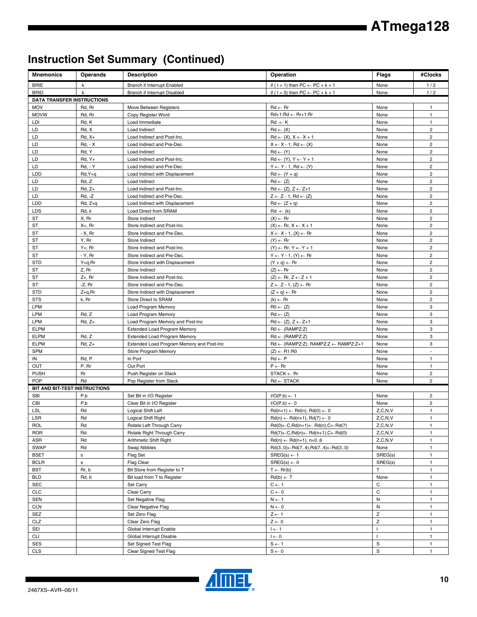# **Instruction Set Summary (Continued)**

| <b>Mnemonics</b>                  | <b>Operands</b>              | <b>Description</b>                             | Operation                                                             | <b>Flags</b>     | #Clocks                          |
|-----------------------------------|------------------------------|------------------------------------------------|-----------------------------------------------------------------------|------------------|----------------------------------|
| <b>BRIE</b>                       | k                            | Branch if Interrupt Enabled                    | if ( $1 = 1$ ) then $PC \leftarrow PC + k + 1$                        | None             | 1/2                              |
| <b>BRID</b>                       | k                            | Branch if Interrupt Disabled                   | if ( $1 = 0$ ) then $PC \leftarrow PC + k + 1$                        | None             | 1/2                              |
| <b>DATA TRANSFER INSTRUCTIONS</b> |                              |                                                |                                                                       |                  |                                  |
| <b>MOV</b>                        | Rd, Rr                       | Move Between Registers                         | $Rd \leftarrow Rr$                                                    | None             | $\mathbf{1}$                     |
| <b>MOVW</b>                       | Rd, Rr                       | Copy Register Word                             | $Rd+1:Rd \leftarrow Rr+1:Rr$                                          | None             | $\mathbf{1}$                     |
| LDI                               | Rd, K                        | Load Immediate                                 | $Rd \leftarrow K$                                                     | None             | $\mathbf{1}$                     |
| LD                                | Rd, X                        | Load Indirect                                  | $Rd \leftarrow (X)$                                                   | None             | $\overline{c}$                   |
| LD                                | $Rd, X+$                     | Load Indirect and Post-Inc.                    | $Rd \leftarrow (X), X \leftarrow X + 1$                               | None             | $\overline{2}$                   |
| LD                                | $Rd, -X$                     | Load Indirect and Pre-Dec.                     | $X \leftarrow X - 1$ , Rd $\leftarrow (X)$                            | None             | $\overline{2}$                   |
| LD                                | Rd, Y                        | Load Indirect                                  | $Rd \leftarrow (Y)$                                                   | None             | $\overline{2}$                   |
| LD                                | $Rd, Y+$                     | Load Indirect and Post-Inc.                    | $Rd \leftarrow (Y), Y \leftarrow Y + 1$                               | None             | $\overline{c}$                   |
| LD                                | <b>Rd, - Y</b>               | Load Indirect and Pre-Dec.                     | $Y \leftarrow Y - 1$ , Rd $\leftarrow (Y)$                            | None             | $\overline{c}$                   |
| LDD                               | Rd, Y+q                      | Load Indirect with Displacement                | $Rd \leftarrow (Y + q)$                                               | None             | $\overline{c}$                   |
| LD                                | Rd, Z                        | Load Indirect                                  | $Rd \leftarrow (Z)$                                                   | None             | $\overline{2}$                   |
| LD                                | $Rd, Z+$                     | Load Indirect and Post-Inc.                    | $Rd \leftarrow (Z), Z \leftarrow Z+1$                                 | None             | $\overline{2}$                   |
| LD                                | $Rd, -Z$                     | Load Indirect and Pre-Dec.                     | $Z \leftarrow Z - 1$ , Rd $\leftarrow (Z)$                            | None             | $\overline{c}$                   |
| LDD                               | $Rd, Z+q$                    | Load Indirect with Displacement                | $Rd \leftarrow (Z + q)$                                               | None             | $\overline{c}$                   |
| <b>LDS</b>                        | Rd, k                        | Load Direct from SRAM                          | $Rd \leftarrow (k)$                                                   | None             | $\overline{c}$                   |
| ST                                | X, Rr                        | Store Indirect                                 | $(X) \leftarrow Rr$                                                   | None             | $\overline{c}$                   |
| <b>ST</b>                         | $X+$ , Rr                    | Store Indirect and Post-Inc.                   | $(X) \leftarrow$ Rr, $X \leftarrow X + 1$                             | None             | $\overline{2}$                   |
| ST                                | - X, Rr                      | Store Indirect and Pre-Dec.                    | $X \leftarrow X - 1$ , $(X) \leftarrow Rr$                            | None             | $\overline{2}$<br>$\overline{c}$ |
| ST                                | Y, Rr                        | Store Indirect<br>Store Indirect and Post-Inc. | $(Y) \leftarrow Rr$                                                   | None             | $\overline{c}$                   |
| <b>ST</b><br><b>ST</b>            | $Y_{+}$ , Rr<br>- Y, Rr      | Store Indirect and Pre-Dec.                    | $(Y) \leftarrow Rr, Y \leftarrow Y + 1$                               | None<br>None     | $\overline{c}$                   |
| <b>STD</b>                        | $Y+q, Rr$                    | Store Indirect with Displacement               | $Y \leftarrow Y - 1$ , $(Y) \leftarrow Rr$<br>$(Y + q) \leftarrow Rr$ | None             | $\overline{c}$                   |
| ST                                | Z, Rr                        | Store Indirect                                 | $(Z) \leftarrow Rr$                                                   | None             | $\overline{2}$                   |
| ST                                | $Z+$ , Rr                    | Store Indirect and Post-Inc.                   | $(Z) \leftarrow$ Rr, $Z \leftarrow Z + 1$                             | None             | $\overline{2}$                   |
| ST                                | $-Z$ , Rr                    | Store Indirect and Pre-Dec.                    | $Z \leftarrow Z - 1$ , $(Z) \leftarrow Rr$                            | None             | $\overline{c}$                   |
| <b>STD</b>                        | $Z+q, Rr$                    | Store Indirect with Displacement               | $(Z + q) \leftarrow Rr$                                               | None             | $\overline{2}$                   |
| <b>STS</b>                        | k, Rr                        | Store Direct to SRAM                           | $(k) \leftarrow Rr$                                                   | None             | $\overline{c}$                   |
| <b>LPM</b>                        |                              | Load Program Memory                            | $R0 \leftarrow (Z)$                                                   | None             | 3                                |
| LPM                               | Rd, Z                        | Load Program Memory                            | $Rd \leftarrow (Z)$                                                   | None             | 3                                |
| LPM                               | $Rd, Z+$                     | Load Program Memory and Post-Inc               | $Rd \leftarrow (Z), Z \leftarrow Z+1$                                 | None             | 3                                |
| <b>ELPM</b>                       |                              | Extended Load Program Memory                   | $RO \leftarrow (RAMPZ:Z)$                                             | None             | 3                                |
| <b>ELPM</b>                       | Rd, Z                        | <b>Extended Load Program Memory</b>            | $Rd \leftarrow (RAMPZ:Z)$                                             | None             | 3                                |
| <b>ELPM</b>                       | $Rd, Z+$                     | Extended Load Program Memory and Post-Inc      | $Rd \leftarrow (RAMPZ:Z), RAMPZ:Z \leftarrow RAMPZ:Z+1$               | None             | 3                                |
| SPM                               |                              | Store Program Memory                           | $(Z) \leftarrow R1:R0$                                                | None             |                                  |
| IN                                | Rd, P                        | In Port                                        | $Rd \leftarrow P$                                                     | None             | $\mathbf{1}$                     |
| <b>OUT</b>                        | P, Rr                        | Out Port                                       | $P \leftarrow Rr$                                                     | None             | $\mathbf{1}$                     |
| <b>PUSH</b>                       | <b>Rr</b>                    | Push Register on Stack                         | $STACK \leftarrow Rr$                                                 | None             | $\overline{c}$                   |
| POP                               | Rd                           | Pop Register from Stack                        | $\mathsf{Rd} \leftarrow \mathsf{STACK}$                               | None             | $\overline{2}$                   |
| BIT AND BIT-TEST INSTRUCTIONS     |                              |                                                |                                                                       |                  |                                  |
| <b>SBI</b>                        | P,b                          | Set Bit in I/O Register                        | $I/O(P,b) \leftarrow 1$                                               | None             | $\overline{c}$                   |
| CBI                               | P,b                          | Clear Bit in I/O Register                      | $I/O(P,b) \leftarrow 0$                                               | None             | $\overline{2}$                   |
| <b>LSL</b>                        | Rd                           | Logical Shift Left                             | $Rd(n+1) \leftarrow Rd(n), Rd(0) \leftarrow 0$                        | Z, C, N, V       | $\mathbf{1}$                     |
| LSR                               | $\operatorname{\mathsf{Rd}}$ | Logical Shift Right                            | $Rd(n) \leftarrow Rd(n+1), Rd(7) \leftarrow 0$                        | Z, C, N, V       | $\mathbf{1}$                     |
| ROL                               | Rd                           | Rotate Left Through Carry                      | $Rd(0) \leftarrow C, Rd(n+1) \leftarrow Rd(n), C \leftarrow Rd(7)$    | Z, C, N, V       | $\mathbf{1}$                     |
| <b>ROR</b>                        | Rd                           | Rotate Right Through Carry                     | $Rd(7) \leftarrow C, Rd(n) \leftarrow Rd(n+1), C \leftarrow Rd(0)$    | Z, C, N, V       | $\mathbf{1}$                     |
| ASR                               | Rd                           | Arithmetic Shift Right                         | $Rd(n) \leftarrow Rd(n+1), n=06$                                      | Z, C, N, V       | $\mathbf{1}$                     |
| <b>SWAP</b>                       | Rd                           | Swap Nibbles                                   | $Rd(30) \leftarrow Rd(74), Rd(74) \leftarrow Rd(30)$                  | None             | 1                                |
| <b>BSET</b>                       | $\mathbf s$                  | Flag Set                                       | $SREG(s) \leftarrow 1$                                                | SREG(s)          | $\mathbf{1}$                     |
| <b>BCLR</b>                       | $\mathsf{s}$                 | Flag Clear                                     | $SREG(s) \leftarrow 0$                                                | SREG(s)          | $\mathbf{1}$                     |
| <b>BST</b>                        | Rr, b                        | Bit Store from Register to T                   | $T \leftarrow Rr(b)$                                                  | T                | $\mathbf{1}$                     |
| <b>BLD</b>                        | Rd, b                        | Bit load from T to Register                    | $Rd(b) \leftarrow T$                                                  | None             | $\mathbf{1}$                     |
| <b>SEC</b>                        |                              | Set Carry                                      | $C \leftarrow 1$                                                      | С                | $\mathbf{1}$                     |
| CLC                               |                              | Clear Carry                                    | $C \leftarrow 0$                                                      | C                | $\mathbf{1}$                     |
| SEN                               |                              | Set Negative Flag                              | $N \leftarrow 1$                                                      | N                | $\mathbf{1}$                     |
| <b>CLN</b>                        |                              | Clear Negative Flag                            | $\mathsf{N}\leftarrow\mathsf{0}$                                      | N                | $\mathbf{1}$                     |
| SEZ                               |                              | Set Zero Flag                                  | $Z \leftarrow 1$                                                      | $\mathsf Z$      | $\mathbf{1}$                     |
| <b>CLZ</b>                        |                              | Clear Zero Flag                                | $Z \leftarrow 0$                                                      | $\mathsf Z$      | $\mathbf{1}$                     |
| SEI                               |                              | Global Interrupt Enable                        | $I \leftarrow 1$                                                      | -1               | $\mathbf{1}$                     |
| <b>CLI</b>                        |                              | Global Interrupt Disable                       | $I \leftarrow 0$                                                      |                  | $\mathbf{1}$                     |
| SES<br><b>CLS</b>                 |                              | Set Signed Test Flag<br>Clear Signed Test Flag | $S \leftarrow 1$<br>$S \leftarrow 0$                                  | S<br>$\mathbb S$ | $\mathbf{1}$<br>$\mathbf{1}$     |
|                                   |                              |                                                |                                                                       |                  |                                  |

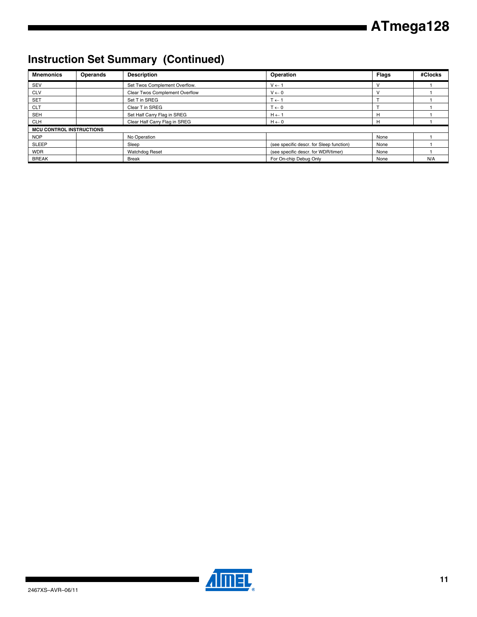# **Instruction Set Summary (Continued)**

| <b>Mnemonics</b>                | <b>Operands</b> | <b>Description</b>             | Operation                                | <b>Flags</b> | #Clocks |
|---------------------------------|-----------------|--------------------------------|------------------------------------------|--------------|---------|
| <b>SEV</b>                      |                 | Set Twos Complement Overflow.  | $V \leftarrow 1$                         |              |         |
| <b>CLV</b>                      |                 | Clear Twos Complement Overflow | $V \leftarrow 0$                         |              |         |
| <b>SET</b>                      |                 | Set T in SREG                  | $T \leftarrow 1$                         |              |         |
| <b>CLT</b>                      |                 | Clear T in SREG                | $T \leftarrow 0$                         |              |         |
| <b>SEH</b>                      |                 | Set Half Carry Flag in SREG    | $H \leftarrow 1$                         | н            |         |
| <b>CLH</b>                      |                 | Clear Half Carry Flag in SREG  | $H \leftarrow 0$                         | н            |         |
| <b>MCU CONTROL INSTRUCTIONS</b> |                 |                                |                                          |              |         |
| <b>NOP</b>                      |                 | No Operation                   |                                          | None         |         |
| <b>SLEEP</b>                    |                 | Sleep                          | (see specific descr. for Sleep function) | None         |         |
| <b>WDR</b>                      |                 | <b>Watchdog Reset</b>          | (see specific descr. for WDR/timer)      | None         |         |
| <b>BREAK</b>                    |                 | <b>Break</b>                   | For On-chip Debug Only                   | None         | N/A     |

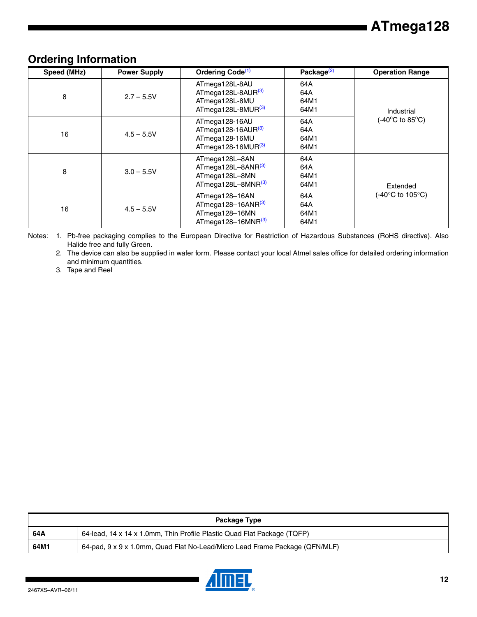### <span id="page-11-3"></span>**Ordering Information**

| Speed (MHz) | <b>Power Supply</b> | Ordering Code <sup>(1)</sup>                                                             | Package <sup>(2)</sup>     | <b>Operation Range</b>                |
|-------------|---------------------|------------------------------------------------------------------------------------------|----------------------------|---------------------------------------|
| 8           | $2.7 - 5.5V$        | ATmega128L-8AU<br>ATmega128L-8AUR(3)<br>ATmega128L-8MU<br>ATmega128L-8MUR <sup>(3)</sup> | 64A<br>64A<br>64M1<br>64M1 | Industrial                            |
| 16          | $4.5 - 5.5V$        | ATmega128-16AU<br>ATmega128-16AUR $(3)$<br>ATmega128-16MU<br>ATmega128-16MUR $^{(3)}$    | 64A<br>64A<br>64M1<br>64M1 | $(-40^{\circ}$ C to 85 $^{\circ}$ C)  |
| 8           | $3.0 - 5.5V$        | ATmega128L-8AN<br>ATmega128L-8ANR(3)<br>ATmega128L-8MN<br>ATmega128L-8MNR(3)             | 64A<br>64A<br>64M1<br>64M1 | Extended                              |
| 16          | $4.5 - 5.5V$        | ATmega128-16AN<br>ATmega128-16ANR $^{(3)}$<br>ATmega128-16MN<br>ATmega128-16MNR $^{(3)}$ | 64A<br>64A<br>64M1<br>64M1 | $(-40^{\circ}$ C to 105 $^{\circ}$ C) |

<span id="page-11-1"></span><span id="page-11-0"></span>Notes: 1. Pb-free packaging complies to the European Directive for Restriction of Hazardous Substances (RoHS directive). Also Halide free and fully Green.

2. The device can also be supplied in wafer form. Please contact your local Atmel sales office for detailed ordering information and minimum quantities.

<span id="page-11-2"></span>3. Tape and Reel

| Package Type |                                                                             |  |  |
|--------------|-----------------------------------------------------------------------------|--|--|
| 64A          | 64-lead, 14 x 14 x 1.0mm, Thin Profile Plastic Quad Flat Package (TQFP)     |  |  |
| 64M1         | 64-pad, 9 x 9 x 1.0mm, Quad Flat No-Lead/Micro Lead Frame Package (QFN/MLF) |  |  |

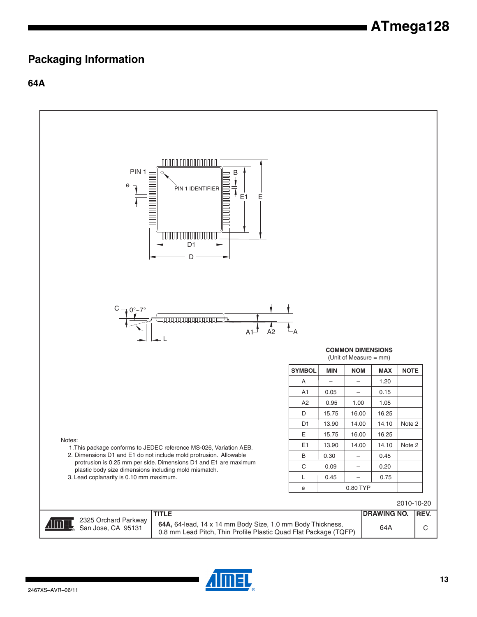### <span id="page-12-0"></span>**Packaging Information**

**64A**



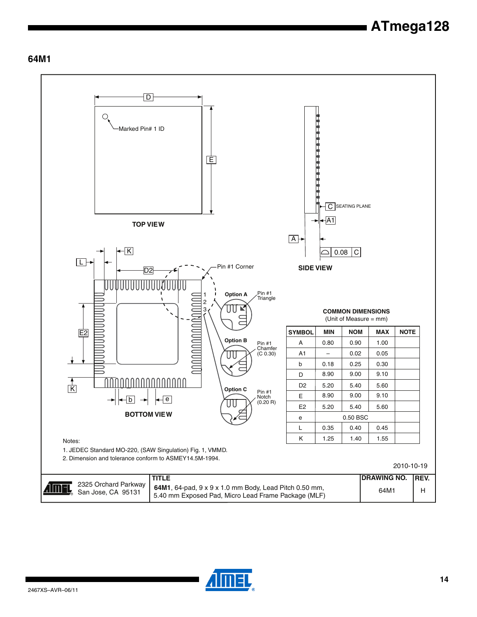#### **64M1**



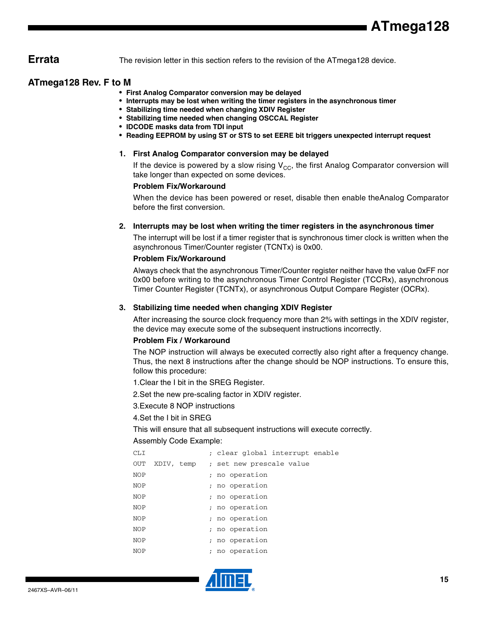<span id="page-14-0"></span>**Errata** The revision letter in this section refers to the revision of the ATmega128 device.

#### <span id="page-14-1"></span>**ATmega128 Rev. F to M**

- **First Analog Comparator conversion may be delayed**
- **Interrupts may be lost when writing the timer registers in the asynchronous timer**
- **Stabilizing time needed when changing XDIV Register**
- **Stabilizing time needed when changing OSCCAL Register**
- **IDCODE masks data from TDI input**
- **Reading EEPROM by using ST or STS to set EERE bit triggers unexpected interrupt request**

#### **1. First Analog Comparator conversion may be delayed**

If the device is powered by a slow rising  $V_{CC}$ , the first Analog Comparator conversion will take longer than expected on some devices.

#### **Problem Fix/Workaround**

When the device has been powered or reset, disable then enable theAnalog Comparator before the first conversion.

#### **2. Interrupts may be lost when writing the timer registers in the asynchronous timer**

The interrupt will be lost if a timer register that is synchronous timer clock is written when the asynchronous Timer/Counter register (TCNTx) is 0x00.

#### **Problem Fix/Workaround**

Always check that the asynchronous Timer/Counter register neither have the value 0xFF nor 0x00 before writing to the asynchronous Timer Control Register (TCCRx), asynchronous Timer Counter Register (TCNTx), or asynchronous Output Compare Register (OCRx).

#### **3. Stabilizing time needed when changing XDIV Register**

After increasing the source clock frequency more than 2% with settings in the XDIV register, the device may execute some of the subsequent instructions incorrectly.

#### **Problem Fix / Workaround**

The NOP instruction will always be executed correctly also right after a frequency change. Thus, the next 8 instructions after the change should be NOP instructions. To ensure this, follow this procedure:

1.Clear the I bit in the SREG Register.

2.Set the new pre-scaling factor in XDIV register.

3.Execute 8 NOP instructions

#### 4.Set the I bit in SREG

This will ensure that all subsequent instructions will execute correctly.

#### Assembly Code Example:

| CLI        |                                     |                |              |  | ; clear global interrupt enable |
|------------|-------------------------------------|----------------|--------------|--|---------------------------------|
| OUT        | XDIV, temp ; set new prescale value |                |              |  |                                 |
| <b>NOP</b> |                                     | ; no operation |              |  |                                 |
| <b>NOP</b> |                                     | ; no operation |              |  |                                 |
| <b>NOP</b> |                                     | ; no operation |              |  |                                 |
| <b>NOP</b> |                                     | ; no operation |              |  |                                 |
| <b>NOP</b> |                                     | ; no operation |              |  |                                 |
| <b>NOP</b> |                                     | ; no operation |              |  |                                 |
| <b>NOP</b> |                                     | ; no operation |              |  |                                 |
| <b>NOP</b> |                                     |                | no operation |  |                                 |
|            |                                     |                |              |  |                                 |

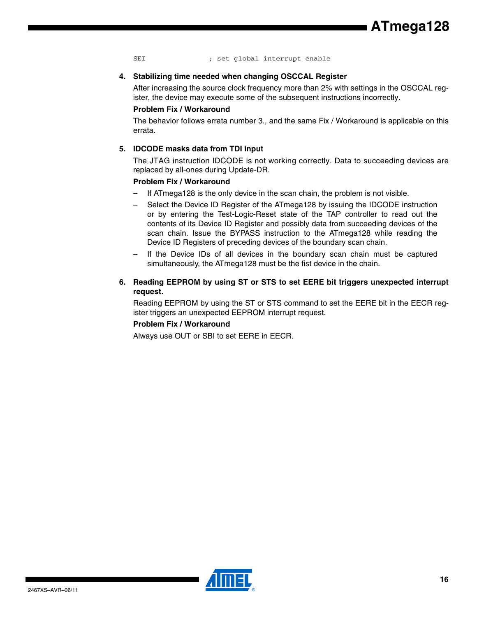SEI ; set global interrupt enable

#### **4. Stabilizing time needed when changing OSCCAL Register**

After increasing the source clock frequency more than 2% with settings in the OSCCAL register, the device may execute some of the subsequent instructions incorrectly.

#### **Problem Fix / Workaround**

The behavior follows errata number 3., and the same Fix / Workaround is applicable on this errata.

#### **5. IDCODE masks data from TDI input**

The JTAG instruction IDCODE is not working correctly. Data to succeeding devices are replaced by all-ones during Update-DR.

#### **Problem Fix / Workaround**

- If ATmega128 is the only device in the scan chain, the problem is not visible.
- Select the Device ID Register of the ATmega128 by issuing the IDCODE instruction or by entering the Test-Logic-Reset state of the TAP controller to read out the contents of its Device ID Register and possibly data from succeeding devices of the scan chain. Issue the BYPASS instruction to the ATmega128 while reading the Device ID Registers of preceding devices of the boundary scan chain.
- If the Device IDs of all devices in the boundary scan chain must be captured simultaneously, the ATmega128 must be the fist device in the chain.
- **6. Reading EEPROM by using ST or STS to set EERE bit triggers unexpected interrupt request.**

Reading EEPROM by using the ST or STS command to set the EERE bit in the EECR register triggers an unexpected EEPROM interrupt request.

#### **Problem Fix / Workaround**

Always use OUT or SBI to set EERE in EECR.

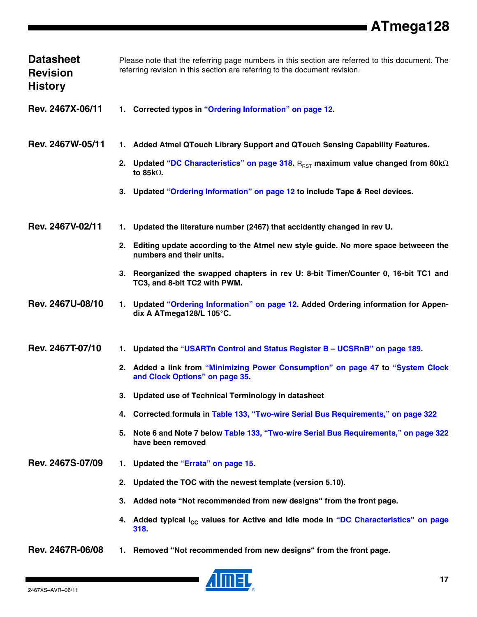| <b>Datasheet</b><br><b>Revision</b><br><b>History</b> | Please note that the referring page numbers in this section are referred to this document. The<br>referring revision in this section are referring to the document revision.                         |
|-------------------------------------------------------|------------------------------------------------------------------------------------------------------------------------------------------------------------------------------------------------------|
| Rev. 2467X-06/11                                      | 1. Corrected typos in "Ordering Information" on page 12.                                                                                                                                             |
| Rev. 2467W-05/11                                      | 1. Added Atmel QTouch Library Support and QTouch Sensing Capability Features.<br>2. Updated "DC Characteristics" on page 318. $R_{RST}$ maximum value changed from 60k $\Omega$<br>to 85 $k\Omega$ . |
|                                                       | 3. Updated "Ordering Information" on page 12 to include Tape & Reel devices.                                                                                                                         |
| Rev. 2467V-02/11                                      | Updated the literature number (2467) that accidently changed in rev U.<br>1.                                                                                                                         |
|                                                       | 2. Editing update according to the Atmel new style guide. No more space betweeen the<br>numbers and their units.                                                                                     |
|                                                       | 3. Reorganized the swapped chapters in rev U: 8-bit Timer/Counter 0, 16-bit TC1 and<br>TC3, and 8-bit TC2 with PWM.                                                                                  |
| Rev. 2467U-08/10                                      | Updated "Ordering Information" on page 12. Added Ordering information for Appen-<br>1.<br>dix A ATmega128/L 105°C.                                                                                   |
| Rev. 2467T-07/10                                      | Updated the "USARTn Control and Status Register B - UCSRnB" on page 189.<br>1.                                                                                                                       |
|                                                       | 2. Added a link from "Minimizing Power Consumption" on page 47 to "System Clock"<br>and Clock Options" on page 35.                                                                                   |
|                                                       | Updated use of Technical Terminology in datasheet<br>3.                                                                                                                                              |
|                                                       | Corrected formula in Table 133, "Two-wire Serial Bus Requirements," on page 322<br>4.                                                                                                                |
|                                                       | Note 6 and Note 7 below Table 133, "Two-wire Serial Bus Requirements," on page 322<br>5.<br>have been removed                                                                                        |
| Rev. 2467S-07/09                                      | Updated the "Errata" on page 15.<br>1.                                                                                                                                                               |
|                                                       | Updated the TOC with the newest template (version 5.10).<br>2.                                                                                                                                       |
|                                                       | Added note "Not recommended from new designs" from the front page.<br>3.                                                                                                                             |
|                                                       | 4. Added typical I <sub>CC</sub> values for Active and Idle mode in "DC Characteristics" on page<br>318                                                                                              |
| Rev. 2467R-06/08                                      | Removed "Not recommended from new designs" from the front page.<br>1.                                                                                                                                |



 $\blacksquare$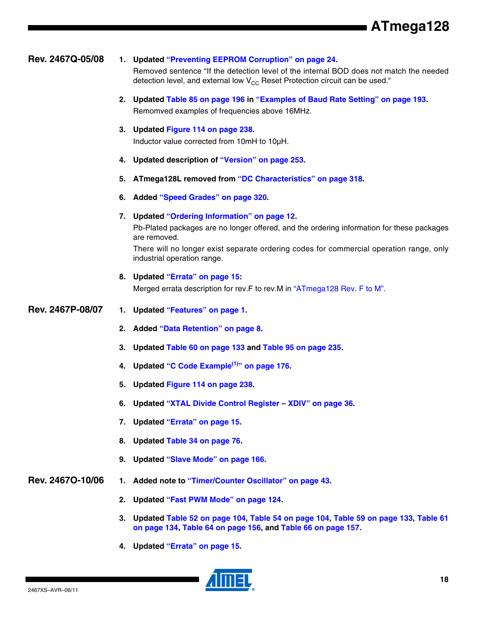| Rev. 2467Q-05/08 |    | 1. Updated "Preventing EEPROM Corruption" on page 24.<br>Removed sentence "If the detection level of the internal BOD does not match the needed<br>detection level, and external low $V_{CC}$ Reset Protection circuit can be used."                                                 |
|------------------|----|--------------------------------------------------------------------------------------------------------------------------------------------------------------------------------------------------------------------------------------------------------------------------------------|
|                  |    | 2. Updated Table 85 on page 196 in "Examples of Baud Rate Setting" on page 193.<br>Remomved examples of frequencies above 16MHz.                                                                                                                                                     |
|                  |    | 3. Updated Figure 114 on page 238.<br>Inductor value corrected from 10mH to 10µH.                                                                                                                                                                                                    |
|                  |    | 4. Updated description of "Version" on page 253.                                                                                                                                                                                                                                     |
|                  | 5. | ATmega128L removed from "DC Characteristics" on page 318.                                                                                                                                                                                                                            |
|                  | 6. | Added "Speed Grades" on page 320.                                                                                                                                                                                                                                                    |
|                  |    | 7. Updated "Ordering Information" on page 12.<br>Pb-Plated packages are no longer offered, and the ordering information for these packages<br>are removed.<br>There will no longer exist separate ordering codes for commercial operation range, only<br>industrial operation range. |
|                  |    | 8. Updated "Errata" on page 15:<br>Merged errata description for rev. F to rev. M in "ATmega128 Rev. F to M".                                                                                                                                                                        |
| Rev. 2467P-08/07 | 1. | Updated "Features" on page 1.                                                                                                                                                                                                                                                        |
|                  |    | 2. Added "Data Retention" on page 8.                                                                                                                                                                                                                                                 |
|                  |    | 3. Updated Table 60 on page 133 and Table 95 on page 235.                                                                                                                                                                                                                            |
|                  |    | 4. Updated "C Code Example <sup>(1)</sup> " on page 176.                                                                                                                                                                                                                             |
|                  | 5. | Updated Figure 114 on page 238.                                                                                                                                                                                                                                                      |
|                  |    | 6. Updated "XTAL Divide Control Register - XDIV" on page 36.                                                                                                                                                                                                                         |
|                  | 7. | <b>Updated "Errata" on page 15.</b>                                                                                                                                                                                                                                                  |
|                  |    |                                                                                                                                                                                                                                                                                      |
|                  | 8. | Updated Table 34 on page 76.                                                                                                                                                                                                                                                         |
|                  | 9. | Updated "Slave Mode" on page 166.                                                                                                                                                                                                                                                    |
| Rev. 24670-10/06 |    | Added note to "Timer/Counter Oscillator" on page 43.                                                                                                                                                                                                                                 |
|                  | 2. | Updated "Fast PWM Mode" on page 124.                                                                                                                                                                                                                                                 |

**4. Updated ["Errata" on page 15.](#page-14-0)**

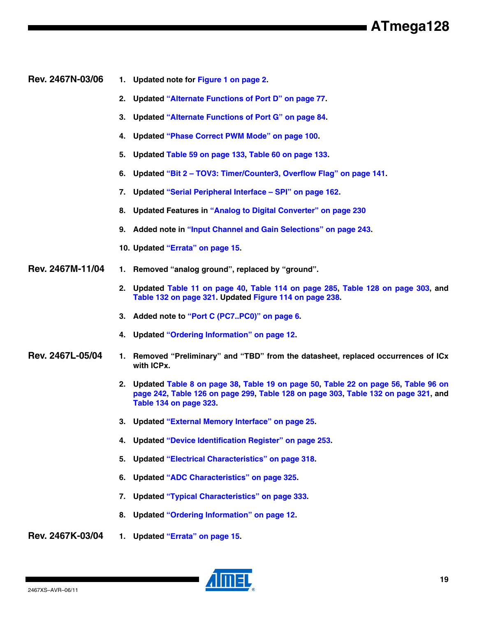#### **Rev. 2467N-03/06 1. Updated note for [Figure 1 on page 2](#page-1-0).**

- **2. Updated "Alternate Functions of Port D" on page 77.**
- **3. Updated "Alternate Functions of Port G" on page 84.**
- **4. Updated "Phase Correct PWM Mode" on page 100.**
- **5. Updated Table 59 on page 133, Table 60 on page 133.**
- **6. Updated "Bit 2 TOV3: Timer/Counter3, Overflow Flag" on page 141.**
- **7. Updated "Serial Peripheral Interface SPI" on page 162.**
- **8. Updated Features in "Analog to Digital Converter" on page 230**
- **9. Added note in "Input Channel and Gain Selections" on page 243.**
- **10. Updated ["Errata" on page 15.](#page-14-0)**
- **Rev. 2467M-11/04 1. Removed "analog ground", replaced by "ground".**
	- **2. Updated Table 11 on page 40, Table 114 on page 285, Table 128 on page 303, and Table 132 on page 321. Updated Figure 114 on page 238.**
	- **3. Added note to ["Port C \(PC7..PC0\)" on page 6](#page-5-0).**
	- **4. Updated ["Ordering Information" on page 12.](#page-11-3)**

#### **Rev. 2467L-05/04 1. Removed "Preliminary" and "TBD" from the datasheet, replaced occurrences of ICx with ICPx.**

- **2. Updated Table 8 on page 38, Table 19 on page 50, Table 22 on page 56, Table 96 on page 242, Table 126 on page 299, Table 128 on page 303, Table 132 on page 321, and Table 134 on page 323.**
- **3. Updated "External Memory Interface" on page 25.**
- **4. Updated "Device Identification Register" on page 253.**
- **5. Updated "Electrical Characteristics" on page 318.**
- **6. Updated "ADC Characteristics" on page 325.**
- **7. Updated "Typical Characteristics" on page 333.**
- **8. Updated ["Ordering Information" on page 12.](#page-11-3)**
- **Rev. 2467K-03/04 1. Updated ["Errata" on page 15.](#page-14-0)**

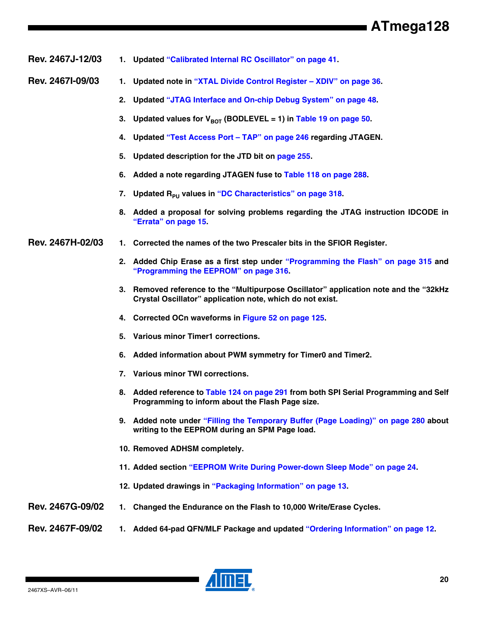**Rev. 2467J-12/03 1. Updated "Calibrated Internal RC Oscillator" on page 41.**

- **Rev. 2467I-09/03 1. Updated note in "XTAL Divide Control Register XDIV" on page 36.**
	- **2. Updated "JTAG Interface and On-chip Debug System" on page 48.**
	- 3. Updated values for  $V_{\text{ROT}}$  (BODLEVEL = 1) in Table 19 on page 50.
	- **4. Updated "Test Access Port TAP" on page 246 regarding JTAGEN.**
	- **5. Updated description for the JTD bit on page 255.**
	- **6. Added a note regarding JTAGEN fuse to Table 118 on page 288.**
	- 7. Updated R<sub>PU</sub> values in "DC Characteristics" on page 318.
	- **8. Added a proposal for solving problems regarding the JTAG instruction IDCODE in ["Errata" on page 15.](#page-14-0)**
- **Rev. 2467H-02/03 1. Corrected the names of the two Prescaler bits in the SFIOR Register.**
	- **2. Added Chip Erase as a first step under "Programming the Flash" on page 315 and "Programming the EEPROM" on page 316.**
	- **3. Removed reference to the "Multipurpose Oscillator" application note and the "32kHz Crystal Oscillator" application note, which do not exist.**
	- **4. Corrected OCn waveforms in Figure 52 on page 125.**
	- **5. Various minor Timer1 corrections.**
	- **6. Added information about PWM symmetry for Timer0 and Timer2.**
	- **7. Various minor TWI corrections.**
	- **8. Added reference to Table 124 on page 291 from both SPI Serial Programming and Self Programming to inform about the Flash Page size.**
	- **9. Added note under "Filling the Temporary Buffer (Page Loading)" on page 280 about writing to the EEPROM during an SPM Page load.**
	- **10. Removed ADHSM completely.**
	- **11. Added section "EEPROM Write During Power-down Sleep Mode" on page 24.**
	- **12. Updated drawings in ["Packaging Information" on page 13.](#page-12-0)**
- **Rev. 2467G-09/02 1. Changed the Endurance on the Flash to 10,000 Write/Erase Cycles.**
- **Rev. 2467F-09/02 1. Added 64-pad QFN/MLF Package and updated ["Ordering Information" on page 12.](#page-11-3)**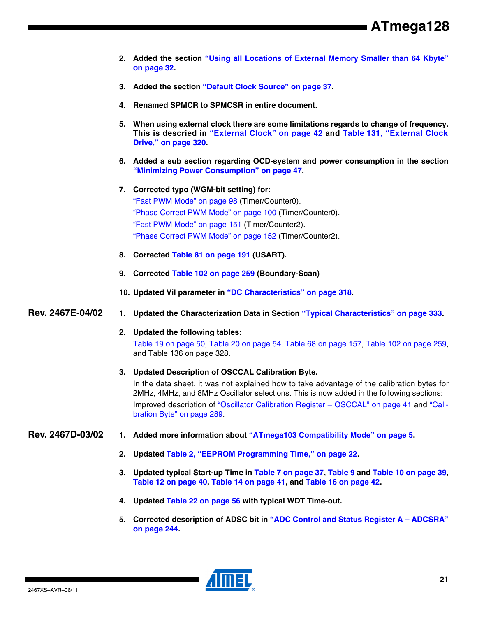- **2. Added the section "Using all Locations of External Memory Smaller than 64 Kbyte" on page 32.**
- **3. Added the section "Default Clock Source" on page 37.**
- **4. Renamed SPMCR to SPMCSR in entire document.**
- **5. When using external clock there are some limitations regards to change of frequency. This is descried in "External Clock" on page 42 and Table 131, "External Clock Drive," on page 320.**
- **6. Added a sub section regarding OCD-system and power consumption in the section "Minimizing Power Consumption" on page 47.**
- **7. Corrected typo (WGM-bit setting) for:** "Fast PWM Mode" on page 98 (Timer/Counter0). "Phase Correct PWM Mode" on page 100 (Timer/Counter0). "Fast PWM Mode" on page 151 (Timer/Counter2). "Phase Correct PWM Mode" on page 152 (Timer/Counter2).
- **8. Corrected Table 81 on page 191 (USART).**
- **9. Corrected Table 102 on page 259 (Boundary-Scan)**
- **10. Updated Vil parameter in "DC Characteristics" on page 318.**
- **Rev. 2467E-04/02 1. Updated the Characterization Data in Section "Typical Characteristics" on page 333.**
	- **2. Updated the following tables:** Table 19 on page 50, Table 20 on page 54, Table 68 on page 157, Table 102 on page 259, and Table 136 on page 328.
	- **3. Updated Description of OSCCAL Calibration Byte.**

In the data sheet, it was not explained how to take advantage of the calibration bytes for 2MHz, 4MHz, and 8MHz Oscillator selections. This is now added in the following sections: Improved description of "Oscillator Calibration Register – OSCCAL" on page 41 and "Calibration Byte" on page 289.

- **Rev. 2467D-03/02 1. Added more information about ["ATmega103 Compatibility Mode" on page 5](#page-4-0).**
	- **2. Updated Table 2, "EEPROM Programming Time," on page 22.**
	- **3. Updated typical Start-up Time in Table 7 on page 37, Table 9 and Table 10 on page 39, Table 12 on page 40, Table 14 on page 41, and Table 16 on page 42.**
	- **4. Updated Table 22 on page 56 with typical WDT Time-out.**
	- **5. Corrected description of ADSC bit in "ADC Control and Status Register A ADCSRA" on page 244.**

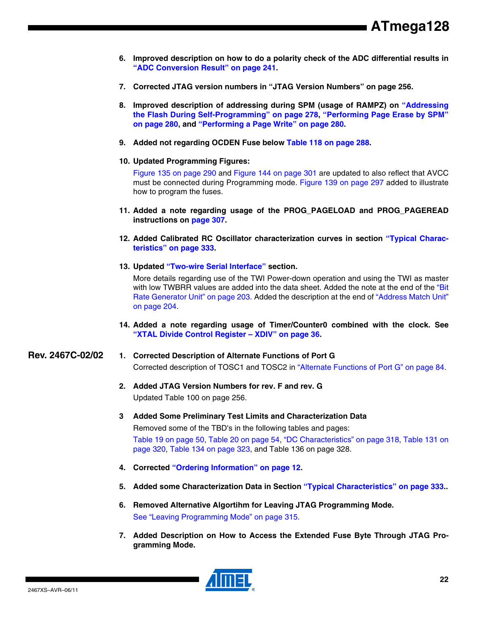- **6. Improved description on how to do a polarity check of the ADC differential results in "ADC Conversion Result" on page 241.**
- **7. Corrected JTAG version numbers in "JTAG Version Numbers" on page 256.**
- **8. Improved description of addressing during SPM (usage of RAMPZ) on "Addressing the Flash During Self-Programming" on page 278, "Performing Page Erase by SPM" on page 280, and "Performing a Page Write" on page 280.**
- **9. Added not regarding OCDEN Fuse below Table 118 on page 288.**
- **10. Updated Programming Figures:**

Figure 135 on page 290 and Figure 144 on page 301 are updated to also reflect that AVCC must be connected during Programming mode. Figure 139 on page 297 added to illustrate how to program the fuses.

- **11. Added a note regarding usage of the PROG\_PAGELOAD and PROG\_PAGEREAD instructions on page 307.**
- **12. Added Calibrated RC Oscillator characterization curves in section "Typical Characteristics" on page 333.**
- **13. Updated "Two-wire Serial Interface" section.**

More details regarding use of the TWI Power-down operation and using the TWI as master with low TWBRR values are added into the data sheet. Added the note at the end of the "Bit Rate Generator Unit" on page 203. Added the description at the end of "Address Match Unit" on page 204.

**14. Added a note regarding usage of Timer/Counter0 combined with the clock. See "XTAL Divide Control Register – XDIV" on page 36.**

#### **Rev. 2467C-02/02 1. Corrected Description of Alternate Functions of Port G**

Corrected description of TOSC1 and TOSC2 in "Alternate Functions of Port G" on page 84.

- **2. Added JTAG Version Numbers for rev. F and rev. G** Updated Table 100 on page 256.
- **3 Added Some Preliminary Test Limits and Characterization Data**

Removed some of the TBD's in the following tables and pages:

Table 19 on page 50, Table 20 on page 54, "DC Characteristics" on page 318, Table 131 on page 320, Table 134 on page 323, and Table 136 on page 328.

- **4. Corrected ["Ordering Information" on page 12.](#page-11-3)**
- **5. Added some Characterization Data in Section "Typical Characteristics" on page 333..**
- **6. Removed Alternative Algortihm for Leaving JTAG Programming Mode.**  See "Leaving Programming Mode" on page 315.
- **7. Added Description on How to Access the Extended Fuse Byte Through JTAG Programming Mode.**

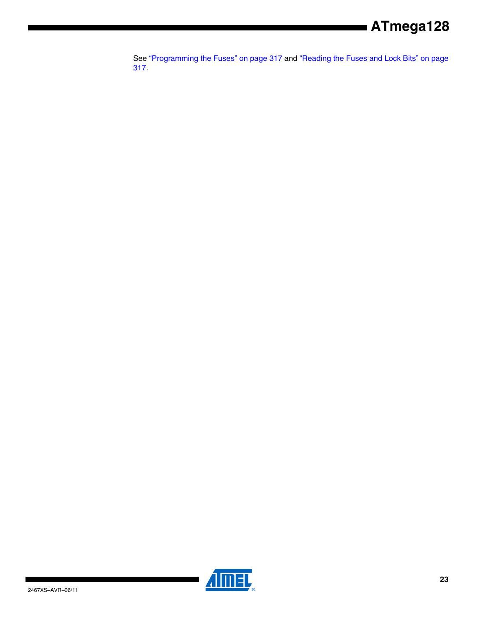See "Programming the Fuses" on page 317 and "Reading the Fuses and Lock Bits" on page 317.